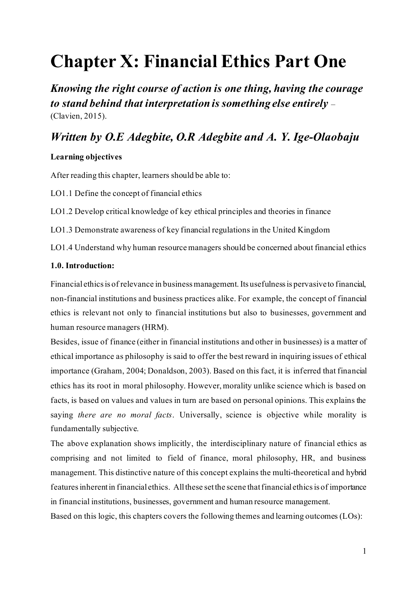# **Chapter X: Financial Ethics Part One**

*Knowing the right course of action is one thing, having the courage to stand behind that interpretation is something else entirely* – (Clavien, 2015).

# *Written by O.E Adegbite, O.R Adegbite and A. Y. Ige-Olaobaju*

# **Learning objectives**

After reading this chapter, learners should be able to:

LO1.1 Define the concept of financial ethics

LO1.2 Develop critical knowledge of key ethical principles and theories in finance

LO1.3 Demonstrate awareness of key financial regulations in the United Kingdom

LO1.4 Understand why human resource managers should be concerned about financial ethics

# **1.0. Introduction:**

Financial ethics is of relevance in business management. Its usefulness is pervasive to financial, non-financial institutions and business practices alike. For example, the concept of financial ethics is relevant not only to financial institutions but also to businesses, government and human resource managers (HRM).

Besides, issue of finance (either in financial institutions and other in businesses) is a matter of ethical importance as philosophy is said to offer the best reward in inquiring issues of ethical importance (Graham, 2004; Donaldson, 2003). Based on this fact, it is inferred that financial ethics has its root in moral philosophy. However, morality unlike science which is based on facts, is based on values and values in turn are based on personal opinions. This explains the saying *there are no moral facts*. Universally, science is objective while morality is fundamentally subjective.

The above explanation shows implicitly, the interdisciplinary nature of financial ethics as comprising and not limited to field of finance, moral philosophy, HR, and business management. This distinctive nature of this concept explains the multi-theoretical and hybrid features inherent in financial ethics. All these set the scene that financial ethics is of importance in financial institutions, businesses, government and human resource management.

Based on this logic, this chapters covers the following themes and learning outcomes (LOs):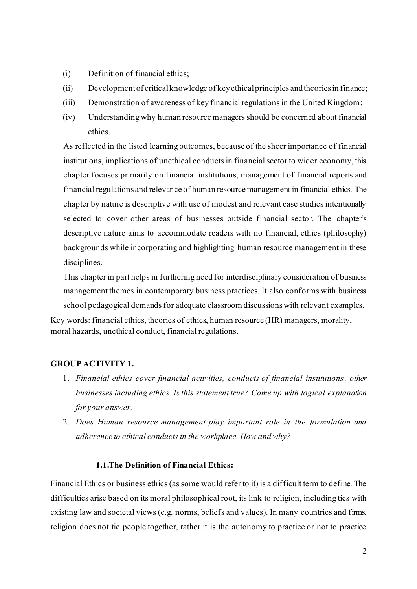- (i) Definition of financial ethics;
- (ii) Development of critical knowledge of key ethical principles and theories in finance;
- (iii) Demonstration of awareness of key financial regulations in the United Kingdom;
- (iv) Understanding why human resource managers should be concerned about financial ethics.

As reflected in the listed learning outcomes, because of the sheer importance of financial institutions, implications of unethical conducts in financial sector to wider economy, this chapter focuses primarily on financial institutions, management of financial reports and financial regulations and relevance of human resource management in financial ethics. The chapter by nature is descriptive with use of modest and relevant case studies intentionally selected to cover other areas of businesses outside financial sector. The chapter's descriptive nature aims to accommodate readers with no financial, ethics (philosophy) backgrounds while incorporating and highlighting human resource management in these disciplines.

This chapter in part helps in furthering need for interdisciplinary consideration of business management themes in contemporary business practices. It also conforms with business school pedagogical demands for adequate classroom discussions with relevant examples. Key words: financial ethics, theories of ethics, human resource (HR) managers, morality,

moral hazards, unethical conduct, financial regulations.

### **GROUP ACTIVITY 1.**

- 1. *Financial ethics cover financial activities, conducts of financial institutions, other businesses including ethics. Is this statement true? Come up with logical explanation for your answer.*
- 2. *Does Human resource management play important role in the formulation and adherence to ethical conducts in the workplace. How and why?*

### **1.1.The Definition of Financial Ethics:**

Financial Ethics or business ethics (as some would refer to it) is a difficult term to define. The difficulties arise based on its moral philosophical root, its link to religion, including ties with existing law and societal views (e.g. norms, beliefs and values). In many countries and firms, religion does not tie people together, rather it is the autonomy to practice or not to practice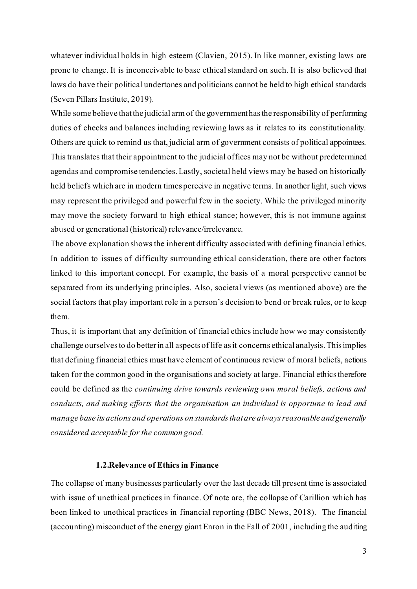whatever individual holds in high esteem (Clavien, 2015). In like manner, existing laws are prone to change. It is inconceivable to base ethical standard on such. It is also believed that laws do have their political undertones and politicians cannot be held to high ethical standards (Seven Pillars Institute, 2019).

While some believe that the judicial arm of the government has the responsibility of performing duties of checks and balances including reviewing laws as it relates to its constitutionality. Others are quick to remind us that, judicial arm of government consists of political appointees. This translates that their appointment to the judicial offices may not be without predetermined agendas and compromise tendencies. Lastly, societal held views may be based on historically held beliefs which are in modern times perceive in negative terms. In another light, such views may represent the privileged and powerful few in the society. While the privileged minority may move the society forward to high ethical stance; however, this is not immune against abused or generational (historical) relevance/irrelevance.

The above explanation shows the inherent difficulty associated with defining financial ethics. In addition to issues of difficulty surrounding ethical consideration, there are other factors linked to this important concept. For example, the basis of a moral perspective cannot be separated from its underlying principles. Also, societal views (as mentioned above) are the social factors that play important role in a person's decision to bend or break rules, or to keep them.

Thus, it is important that any definition of financial ethics include how we may consistently challenge ourselves to do better in all aspects of life as it concerns ethical analysis. This implies that defining financial ethics must have element of continuous review of moral beliefs, actions taken for the common good in the organisations and society at large. Financial ethics therefore could be defined as the *continuing drive towards reviewing own moral beliefs, actions and conducts, and making efforts that the organisation an individual is opportune to lead and manage base its actions and operations on standards that are always reasonable and generally considered acceptable for the common good.*

#### **1.2.Relevance of Ethics in Finance**

The collapse of many businesses particularly over the last decade till present time is associated with issue of unethical practices in finance. Of note are, the collapse of Carillion which has been linked to unethical practices in financial reporting (BBC News, 2018). The financial (accounting) misconduct of the energy giant Enron in the Fall of 2001, including the auditing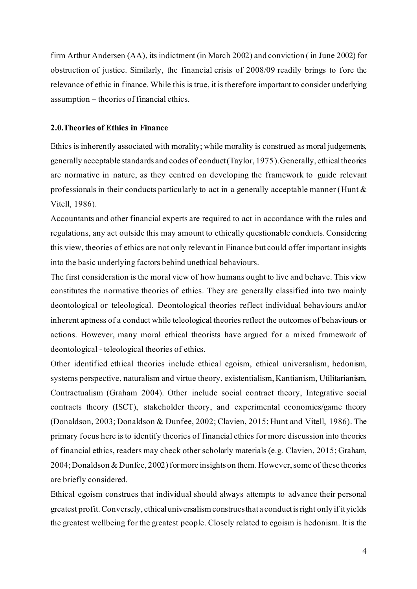firm Arthur Andersen (AA), its indictment (in March 2002) and conviction ( in June 2002) for obstruction of justice. Similarly, the financial crisis of 2008/09 readily brings to fore the relevance of ethic in finance. While this is true, it is therefore important to consider underlying assumption – theories of financial ethics.

#### **2.0.Theories of Ethics in Finance**

Ethics is inherently associated with morality; while morality is construed as moral judgements, generally acceptable standards and codes of conduct (Taylor, 1975). Generally, ethical theories are normative in nature, as they centred on developing the framework to guide relevant professionals in their conducts particularly to act in a generally acceptable manner (Hunt & Vitell, 1986).

Accountants and other financial experts are required to act in accordance with the rules and regulations, any act outside this may amount to ethically questionable conducts. Considering this view, theories of ethics are not only relevant in Finance but could offer important insights into the basic underlying factors behind unethical behaviours.

The first consideration is the moral view of how humans ought to live and behave. This view constitutes the normative theories of ethics. They are generally classified into two mainly deontological or teleological. Deontological theories reflect individual behaviours and/or inherent aptness of a conduct while teleological theories reflect the outcomes of behaviours or actions. However, many moral ethical theorists have argued for a mixed framework of deontological - teleological theories of ethics.

Other identified ethical theories include ethical egoism, ethical universalism, hedonism, systems perspective, naturalism and virtue theory, existentialism, Kantianism, Utilitarianism, Contractualism (Graham 2004). Other include social contract theory, Integrative social contracts theory (ISCT), stakeholder theory, and experimental economics/game theory (Donaldson, 2003; Donaldson & Dunfee, 2002; Clavien, 2015; Hunt and Vitell, 1986). The primary focus here is to identify theories of financial ethics for more discussion into theories of financial ethics, readers may check other scholarly materials (e.g. Clavien, 2015; Graham, 2004; Donaldson & Dunfee, 2002) for more insights on them. However, some of these theories are briefly considered.

Ethical egoism construes that individual should always attempts to advance their personal greatest profit.Conversely, ethical universalism construes that a conduct is right only if it yields the greatest wellbeing for the greatest people. Closely related to egoism is hedonism. It is the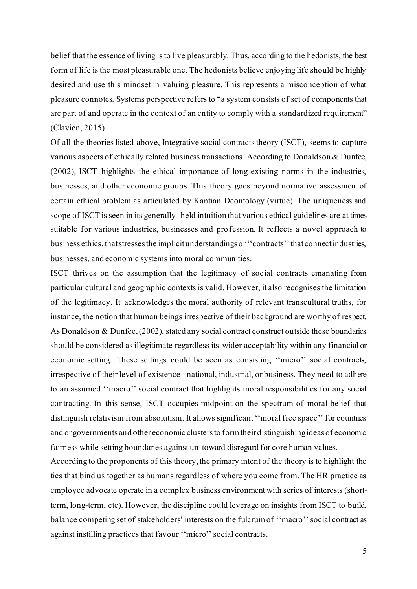belief that the essence of living is to live pleasurably. Thus, according to the hedonists, the best form of life is the most pleasurable one. The hedonists believe enjoying life should be highly desired and use this mindset in valuing pleasure. This represents a misconception of what pleasure connotes. Systems perspective refers to "a system consists of set of components that are part of and operate in the context of an entity to comply with a standardized requirement" (Clavien, 2015).

Of all the theories listed above, Integrative social contracts theory (ISCT), seems to capture various aspects of ethically related business transactions. According to Donaldson & Dunfee, (2002), ISCT highlights the ethical importance of long existing norms in the industries, businesses, and other economic groups. This theory goes beyond normative assessment of certain ethical problem as articulated by Kantian Deontology (virtue). The uniqueness and scope of ISCT is seen in its generally- held intuition that various ethical guidelines are at times suitable for various industries, businesses and profession. It reflects a novel approach to business ethics, that stresses the implicit understandings or ''contracts'' that connect industries, businesses, and economic systems into moral communities.

ISCT thrives on the assumption that the legitimacy of social contracts emanating from particular cultural and geographic contexts is valid. However, it also recognises the limitation of the legitimacy. It acknowledges the moral authority of relevant transcultural truths, for instance, the notion that human beings irrespective of their background are worthy of respect. As Donaldson & Dunfee, (2002), stated any social contract construct outside these boundaries should be considered as illegitimate regardless its wider acceptability within any financial or economic setting. These settings could be seen as consisting ''micro'' social contracts, irrespective of their level of existence - national, industrial, or business. They need to adhere to an assumed ''macro'' social contract that highlights moral responsibilities for any social contracting. In this sense, ISCT occupies midpoint on the spectrum of moral belief that distinguish relativism from absolutism. It allows significant ''moral free space'' for countries and or governments and other economic clusters to form their distinguishing ideas of economic fairness while setting boundaries against un-toward disregard for core human values.

According to the proponents of this theory, the primary intent of the theory is to highlight the ties that bind us together as humans regardless of where you come from. The HR practice as employee advocate operate in a complex business environment with series of interests (shortterm, long-term, etc). However, the discipline could leverage on insights from ISCT to build, balance competing set of stakeholders' interests on the fulcrum of ''macro'' social contract as against instilling practices that favour ''micro'' social contracts.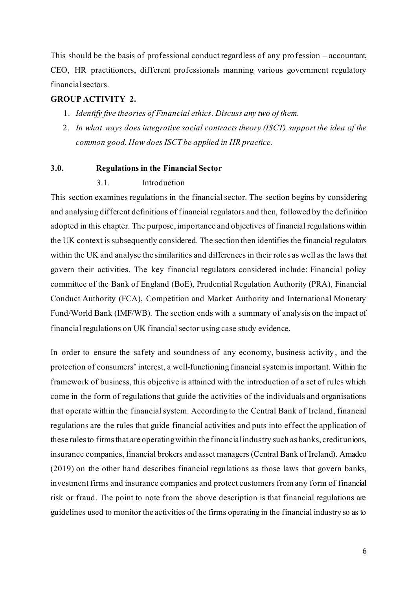This should be the basis of professional conduct regardless of any profession – accountant, CEO, HR practitioners, different professionals manning various government regulatory financial sectors.

### **GROUP ACTIVITY 2.**

- 1. *Identify five theories of Financial ethics. Discuss any two of them.*
- 2. *In what ways does integrative social contracts theory (ISCT) support the idea of the common good. How does ISCT be applied in HR practice.*

#### **3.0. Regulations in the Financial Sector**

#### 3.1. Introduction

This section examines regulations in the financial sector. The section begins by considering and analysing different definitions of financial regulators and then, followed by the definition adopted in this chapter. The purpose, importance and objectives of financial regulations within the UK context is subsequently considered. The section then identifies the financial regulators within the UK and analyse the similarities and differences in their roles as well as the laws that govern their activities. The key financial regulators considered include: Financial policy committee of the Bank of England (BoE), Prudential Regulation Authority (PRA), Financial Conduct Authority (FCA), Competition and Market Authority and International Monetary Fund/World Bank (IMF/WB). The section ends with a summary of analysis on the impact of financial regulations on UK financial sector using case study evidence.

In order to ensure the safety and soundness of any economy, business activity, and the protection of consumers' interest, a well-functioning financial system is important. Within the framework of business, this objective is attained with the introduction of a set of rules which come in the form of regulations that guide the activities of the individuals and organisations that operate within the financial system. According to the Central Bank of Ireland, financial regulations are the rules that guide financial activities and puts into effect the application of these rules to firms that are operating within the financial industry such as banks, credit unions, insurance companies, financial brokers and asset managers (Central Bank of Ireland). Amadeo (2019) on the other hand describes financial regulations as those laws that govern banks, investment firms and insurance companies and protect customers from any form of financial risk or fraud. The point to note from the above description is that financial regulations are guidelines used to monitor the activities of the firms operating in the financial industry so as to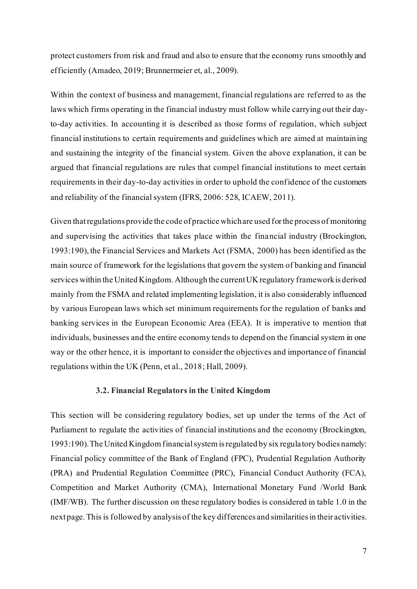protect customers from risk and fraud and also to ensure that the economy runs smoothly and efficiently (Amadeo, 2019; Brunnermeier et, al., 2009).

Within the context of business and management, financial regulations are referred to as the laws which firms operating in the financial industry must follow while carrying out their dayto-day activities. In accounting it is described as those forms of regulation, which subject financial institutions to certain requirements and guidelines which are aimed at maintaining and sustaining the integrity of the financial system. Given the above explanation, it can be argued that financial regulations are rules that compel financial institutions to meet certain requirements in their day-to-day activities in order to uphold the confidence of the customers and reliability of the financial system (IFRS, 2006: 528, ICAEW, 2011).

Given that regulations provide the code of practice which are used for the process of monitoring and supervising the activities that takes place within the financial industry (Brockington, 1993:190), the Financial Services and Markets Act (FSMA, 2000) has been identified as the main source of framework for the legislations that govern the system of banking and financial services within the United Kingdom. Although the current UK regulatory framework is derived mainly from the FSMA and related implementing legislation, it is also considerably influenced by various European laws which set minimum requirements for the regulation of banks and banking services in the European Economic Area (EEA). It is imperative to mention that individuals, businesses and the entire economy tends to depend on the financial system in one way or the other hence, it is important to consider the objectives and importance of financial regulations within the UK (Penn, et al., 2018; Hall, 2009).

#### **3.2. Financial Regulators in the United Kingdom**

This section will be considering regulatory bodies, set up under the terms of the Act of Parliament to regulate the activities of financial institutions and the economy (Brockington, 1993:190). The United Kingdom financial system is regulated by six regulatory bodies namely: Financial policy committee of the Bank of England (FPC), Prudential Regulation Authority (PRA) and Prudential Regulation Committee (PRC), Financial Conduct Authority (FCA), Competition and Market Authority (CMA), International Monetary Fund /World Bank (IMF/WB). The further discussion on these regulatory bodies is considered in table 1.0 in the next page. This is followed by analysis of the key differences and similarities in their activities.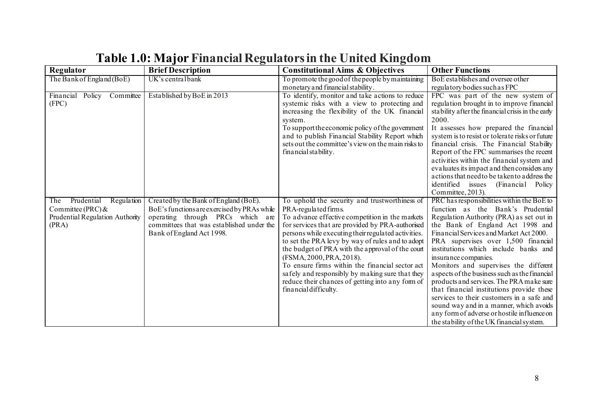| Regulator                              | <b>Brief Description</b>                    | <b>Constitutional Aims &amp; Objectives</b>                               | <b>Other Functions</b>                                                                 |
|----------------------------------------|---------------------------------------------|---------------------------------------------------------------------------|----------------------------------------------------------------------------------------|
| The Bank of England (BoE)              | UK's central bank                           | To promote the good of the people by maintaining                          | BoE esta blishes and oversee other                                                     |
|                                        |                                             | monetary and financial stability.                                         | regulatory bodies such as FPC                                                          |
| Financial Policy<br>Committee          | Established by BoE in 2013                  | To identify, monitor and take actions to reduce                           | FPC was part of the new system of                                                      |
| (FPC)                                  |                                             | systemic risks with a view to protecting and                              | regulation brought in to improve financial                                             |
|                                        |                                             | increasing the flexibility of the UK financial                            | stability after the financial crisis in the early                                      |
|                                        |                                             | system.                                                                   | 2000.                                                                                  |
|                                        |                                             | To support the economic policy of the government                          | It assesses how prepared the financial                                                 |
|                                        |                                             | and to publish Financial Stability Report which                           | system is to resist or tolerate risks or future                                        |
|                                        |                                             | sets out the committee's view on the main risks to                        | financial crisis. The Financial Stability                                              |
|                                        |                                             | financial stability.                                                      | Report of the FPC summarises the recent                                                |
|                                        |                                             |                                                                           | activities within the financial system and                                             |
|                                        |                                             |                                                                           | evaluates its impact and then considers any                                            |
|                                        |                                             |                                                                           | actions that need to be taken to address the                                           |
|                                        |                                             |                                                                           | identified issues<br>(Financial Policy                                                 |
|                                        |                                             |                                                                           | Committee, 2013).                                                                      |
| Prudential<br>Regulation<br><b>The</b> | Created by the Bank of England (BoE).       | To uphold the security and trustworthiness of                             | PRC has responsibilities within the BoE to                                             |
| Committee (PRC) &                      | BoE's functions are exercised by PRAs while | PRA-regulated firms.                                                      | function as the Bank's Prudential                                                      |
| Prudential Regulation Authority        | operating through PRCs which are            | To advance effective competition in the markets                           | Regulation Authority (PRA) as set out in                                               |
| (PRA)                                  | committees that was established under the   | for services that are provided by PRA-authorised                          | the Bank of England Act 1998 and                                                       |
|                                        | Bank of England Act 1998.                   | persons while executing their regulated activities.                       | Financial Services and Market Act 2000.                                                |
|                                        |                                             | to set the PRA levy by way of rules and to adopt                          | PRA supervises over 1,500 financial                                                    |
|                                        |                                             | the budget of PRA with the approval of the court                          | institutions which include banks and                                                   |
|                                        |                                             | (FSMA, 2000, PRA, 2018).                                                  | insurance companies.                                                                   |
|                                        |                                             | To ensure firms within the financial sector act                           | Monitors and supervises the different                                                  |
|                                        |                                             | safely and responsibly by making sure that they                           | aspects of the business such as the financial                                          |
|                                        |                                             | reduce their chances of getting into any form of<br>financial difficulty. | products and services. The PRA make sure                                               |
|                                        |                                             |                                                                           | that financial institutions provide these<br>services to their customers in a safe and |
|                                        |                                             |                                                                           | sound way and in a manner, which avoids                                                |
|                                        |                                             |                                                                           | any form of adverse or hostile influence on                                            |
|                                        |                                             |                                                                           |                                                                                        |
|                                        |                                             |                                                                           | the stability of the UK financial system.                                              |

# **Table 1.0: Major Financial Regulators in the United Kingdom**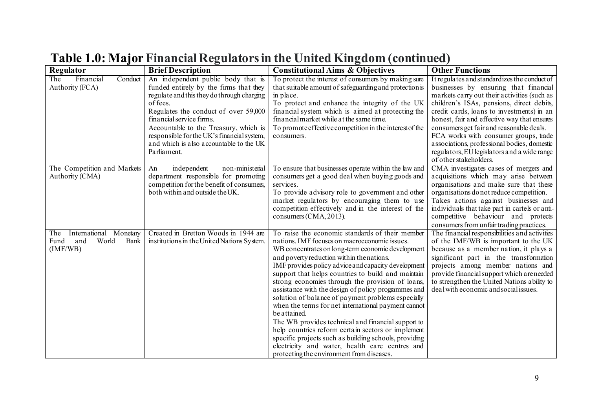| Regulator                                                                 | <b>Brief Description</b>                                                                                                                                                                                                                                                                                                                                    | <b>Constitutional Aims &amp; Objectives</b>                                                                                                                                                                                                                                                                                                                                                                                                                                                                                                                                                                                                                                                                                                                                                                                 | <b>Other Functions</b>                                                                                                                                                                                                                                                                                                                                                                                                                                                                     |
|---------------------------------------------------------------------------|-------------------------------------------------------------------------------------------------------------------------------------------------------------------------------------------------------------------------------------------------------------------------------------------------------------------------------------------------------------|-----------------------------------------------------------------------------------------------------------------------------------------------------------------------------------------------------------------------------------------------------------------------------------------------------------------------------------------------------------------------------------------------------------------------------------------------------------------------------------------------------------------------------------------------------------------------------------------------------------------------------------------------------------------------------------------------------------------------------------------------------------------------------------------------------------------------------|--------------------------------------------------------------------------------------------------------------------------------------------------------------------------------------------------------------------------------------------------------------------------------------------------------------------------------------------------------------------------------------------------------------------------------------------------------------------------------------------|
| Financial<br>Conduct<br>The<br>Authority (FCA)                            | An independent public body that is<br>funded entirely by the firms that they<br>regulate and this they do through charging<br>of fees.<br>Regulates the conduct of over 59,000<br>financial service firms.<br>Accountable to the Treasury, which is<br>responsible for the UK's financial system,<br>and which is also accountable to the UK<br>Parliament. | To protect the interest of consumers by making sure<br>that suitable amount of safeguarding and protection is<br>in place.<br>To protect and enhance the integrity of the UK<br>financial system which is aimed at protecting the<br>financial market while at the same time.<br>To promote effective competition in the interest of the<br>consumers.                                                                                                                                                                                                                                                                                                                                                                                                                                                                      | It regulates and standardizes the conduct of<br>businesses by ensuring that financial<br>markets carry out their activities (such as<br>children's ISAs, pensions, direct debits,<br>credit cards, loans to investments) in an<br>honest, fair and effective way that ensures<br>consumers get fair and reasonable deals.<br>FCA works with consumer groups, trade<br>associations, professional bodies, domestic<br>regulators, EU legislators and a wide range<br>of other stakeholders. |
| The Competition and Markets<br>Authority (CMA)                            | independent<br>non-ministerial<br>An<br>department responsible for promoting<br>competition for the benefit of consumers,<br>both within and outside the UK.                                                                                                                                                                                                | To ensure that businesses operate within the law and<br>consumers get a good deal when buying goods and<br>services.<br>To provide advisory role to government and other<br>market regulators by encouraging them to use<br>competition effectively and in the interest of the<br>consumers (CMA, 2013).                                                                                                                                                                                                                                                                                                                                                                                                                                                                                                                    | CMA investigates cases of mergers and<br>acquisitions which may arise between<br>organisations and make sure that these<br>organisations do not reduce competition.<br>Takes actions against businesses and<br>individuals that take part in cartels or anti-<br>competitive behaviour and protects<br>consumers from unfair trading practices.                                                                                                                                            |
| International Monetary<br>The<br>World<br>and<br>Bank<br>Fund<br>(IMF/WB) | Created in Bretton Woods in 1944 are<br>institutions in the United Nations System.                                                                                                                                                                                                                                                                          | To raise the economic standards of their member<br>nations. IMF focuses on macroeconomic issues.<br>WB concentrates on long-term economic development<br>and poverty reduction within the nations.<br>IMF provides policy advice and capacity development<br>support that helps countries to build and maintain<br>strong economies through the provision of loans,<br>assistance with the design of policy programmes and<br>solution of balance of payment problems especially<br>when the terms for net international payment cannot<br>be attained.<br>The WB provides technical and financial support to<br>help countries reform certain sectors or implement<br>specific projects such as building schools, providing<br>electricity and water, health care centres and<br>protecting the environment from diseases. | The financial responsibilities and activities<br>of the IMF/WB is important to the UK<br>because as a member nation, it plays a<br>significant part in the transformation<br>projects among member nations and<br>provide financial support which a reneeded<br>to strengthen the United Nations ability to<br>deal with economic and social issues.                                                                                                                                       |

# **Table 1.0: Major Financial Regulators in the United Kingdom (continued)**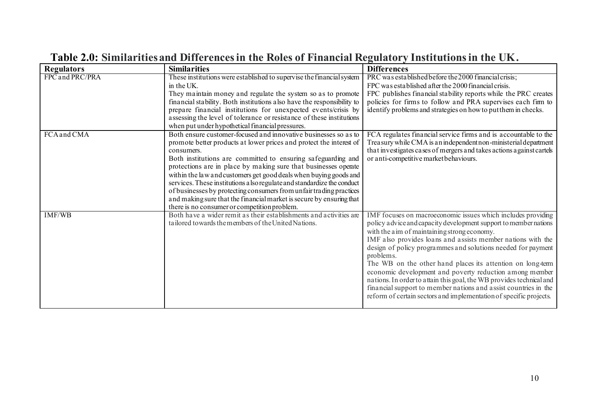| <b>Regulators</b>  | <b>Similarities</b>                                                                                                                                                                                                                                                                                                                                                                                                                                                                                                                                                                                                                                                                        | <b>Differences</b>                                                                                                                                                                                                                                                                                                                                                                                                                                                                                                                                                                                                                                                     |
|--------------------|--------------------------------------------------------------------------------------------------------------------------------------------------------------------------------------------------------------------------------------------------------------------------------------------------------------------------------------------------------------------------------------------------------------------------------------------------------------------------------------------------------------------------------------------------------------------------------------------------------------------------------------------------------------------------------------------|------------------------------------------------------------------------------------------------------------------------------------------------------------------------------------------------------------------------------------------------------------------------------------------------------------------------------------------------------------------------------------------------------------------------------------------------------------------------------------------------------------------------------------------------------------------------------------------------------------------------------------------------------------------------|
| FPC and PRC/PRA    | These institutions were established to supervise the financial system<br>in the UK.<br>They maintain money and regulate the system so as to promote<br>financial stability. Both institutions also have the responsibility to<br>prepare financial institutions for unexpected events/crisis by<br>assessing the level of tolerance or resistance of these institutions                                                                                                                                                                                                                                                                                                                    | PRC was established before the 2000 financial crisis;<br>FPC was established after the 2000 financial crisis.<br>FPC publishes financial stability reports while the PRC creates<br>policies for firms to follow and PRA supervises each firm to<br>identify problems and strategies on how to put them in checks.                                                                                                                                                                                                                                                                                                                                                     |
| <b>FCA</b> and CMA | when put under hypothetical financial pressures.<br>Both ensure customer-focused and innovative businesses so as to<br>promote better products at lower prices and protect the interest of<br>consumers.<br>Both institutions are committed to ensuring safeguarding and<br>protections are in place by making sure that businesses operate<br>within the law and customers get good deals when buying goods and<br>services. These institutions a lso regulate and standardize the conduct<br>of businesses by protecting consumers from unfair trading practices<br>and making sure that the financial market is secure by ensuring that<br>there is no consumer or competition problem. | FCA regulates financial service firms and is accountable to the<br>Trea sury while CMA is an independent non-ministerial department<br>that investigates cases of mergers and takes actions against cartels<br>or anti-competitive market behaviours.                                                                                                                                                                                                                                                                                                                                                                                                                  |
| <b>IMF/WB</b>      | Both have a wider remit as their establishments and activities are<br>tailored towards the members of the United Nations.                                                                                                                                                                                                                                                                                                                                                                                                                                                                                                                                                                  | IMF focuses on macroeconomic issues which includes providing<br>policy a dvice and capacity development support to member nations<br>with the aim of maintaining strong economy.<br>IMF also provides loans and assists member nations with the<br>design of policy programmes and solutions needed for payment<br>problems.<br>The WB on the other hand places its attention on long-term<br>economic development and poverty reduction among member<br>nations. In order to attain this goal, the WB provides technical and<br>financial support to member nations and assist countries in the<br>reform of certain sectors and implementation of specific projects. |

# **Table 2.0: Similarities and Differences in the Roles of Financial Regulatory Institutions in the UK.**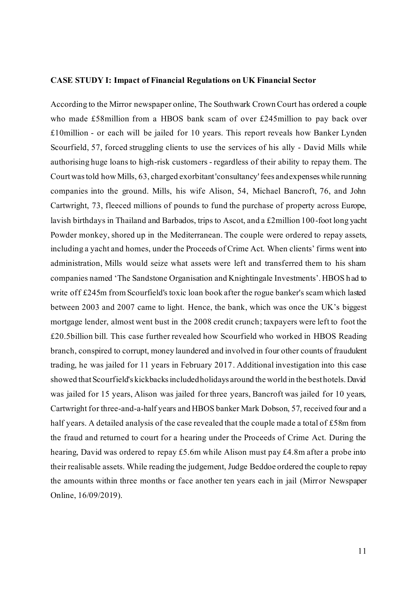#### **CASE STUDY I: Impact of Financial Regulations on UK Financial Sector**

According to the Mirror newspaper online, The Southwark Crown Court has ordered a couple who made £58million from a HBOS bank scam of over £245million to pay back over £10million - or each will be jailed for 10 years. This report reveals how Banker Lynden Scourfield, 57, forced struggling clients to use the services of his ally - David Mills while authorising huge loans to high-risk customers - regardless of their ability to repay them. The Courtwas told how Mills, 63, charged exorbitant 'consultancy' fees and expenses while running companies into the ground. Mills, his wife Alison, 54, Michael Bancroft, 76, and John Cartwright, 73, fleeced millions of pounds to fund the purchase of property across Europe, lavish birthdays in Thailand and Barbados, trips to Ascot, and a £2million 100-foot long yacht Powder monkey, shored up in the Mediterranean. The couple were ordered to repay assets, including a yacht and homes, under the Proceeds of Crime Act. When clients' firms went into administration, Mills would seize what assets were left and transferred them to his sham companies named 'The Sandstone Organisation and Knightingale Investments'. HBOS had to write off £245m from Scourfield's toxic loan book after the rogue banker's scam which lasted between 2003 and 2007 came to light. Hence, the bank, which was once the UK's biggest mortgage lender, almost went bust in the 2008 credit crunch; taxpayers were left to foot the £20.5billion bill. This case further revealed how Scourfield who worked in HBOS Reading branch, conspired to corrupt, money laundered and involved in four other counts of fraudulent trading, he was jailed for 11 years in February 2017. Additional investigation into this case showed that Scourfield's kickbacks included holidays around the world in the best hotels. David was jailed for 15 years, Alison was jailed for three years, Bancroft was jailed for 10 years, Cartwright for three-and-a-half years and HBOS banker Mark Dobson, 57, received four and a half years. A detailed analysis of the case revealed that the couple made a total of £58m from the fraud and returned to court for a hearing under the Proceeds of Crime Act. During the hearing, David was ordered to repay £5.6m while Alison must pay £4.8m after a probe into their realisable assets. While reading the judgement, Judge Beddoe ordered the couple to repay the amounts within three months or face another ten years each in jail (Mirror Newspaper Online, 16/09/2019).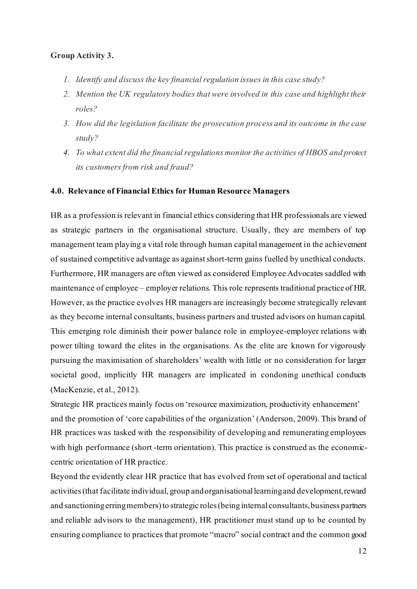### **Group Activity 3.**

- *1. Identify and discuss the key financial regulation issues in this case study?*
- *2. Mention the UK regulatory bodies that were involved in this case and highlight their roles?*
- *3. How did the legislation facilitate the prosecution process and its outcome in the case study?*
- *4. To what extent did the financial regulations monitor the activities of HBOS and protect its customers from risk and fraud?*

#### **4.0. Relevance of Financial Ethics for Human Resource Managers**

HR as a profession is relevant in financial ethics considering that HR professionals are viewed as strategic partners in the organisational structure. Usually, they are members of top management team playing a vital role through human capital management in the achievement of sustained competitive advantage as against short-term gains fuelled by unethical conducts. Furthermore, HR managers are often viewed as considered Employee Advocates saddled with maintenance of employee – employer relations. This role represents traditional practice of HR. However, as the practice evolves HR managers are increasingly become strategically relevant as they become internal consultants, business partners and trusted advisors on human capital. This emerging role diminish their power balance role in employee-employer relations with power tilting toward the elites in the organisations. As the elite are known for vigorously pursuing the maximisation of shareholders' wealth with little or no consideration for larger societal good, implicitly HR managers are implicated in condoning unethical conducts (MacKenzie, et al., 2012).

Strategic HR practices mainly focus on 'resource maximization, productivity enhancement' and the promotion of 'core capabilities of the organization' (Anderson, 2009). This brand of HR practices was tasked with the responsibility of developing and remunerating employees with high performance (short -term orientation). This practice is construed as the economiccentric orientation of HR practice.

Beyond the evidently clear HR practice that has evolved from set of operational and tactical activities (that facilitate individual, group and organisational learning and development, reward and sanctioning erring members) to strategic roles (being internal consultants, business partners and reliable advisors to the management), HR practitioner must stand up to be counted by ensuring compliance to practices that promote "macro" social contract and the common good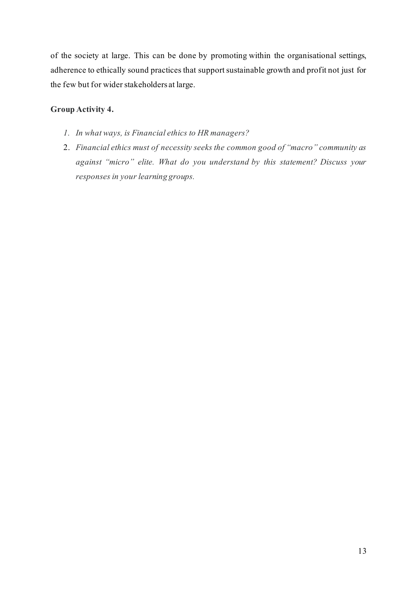of the society at large. This can be done by promoting within the organisational settings, adherence to ethically sound practices that support sustainable growth and profit not just for the few but for wider stakeholders at large.

# **Group Activity 4.**

- *1. In what ways, is Financial ethics to HR managers?*
- 2. *Financial ethics must of necessity seeks the common good of "macro" community as against "micro" elite. What do you understand by this statement? Discuss your responses in your learning groups.*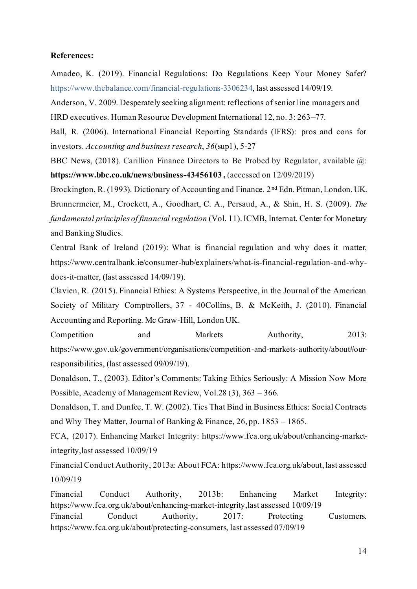#### **References:**

Amadeo, K. (2019). Financial Regulations: Do Regulations Keep Your Money Safer? https://www.thebalance.com/financial-regulations-3306234, last assessed 14/09/19.

Anderson, V. 2009. Desperately seeking alignment: reflections of senior line managers and

HRD executives. Human Resource Development International 12, no. 3: 263–77.

Ball, R. (2006). International Financial Reporting Standards (IFRS): pros and cons for investors. *Accounting and business research*, *36*(sup1), 5-27

BBC News, (2018). Carillion Finance Directors to Be Probed by Regulator, available @: **https://www.bbc.co.uk/news/business-43456103 ,** (accessed on 12/09/2019)

Brockington, R. (1993). Dictionary of Accounting and Finance. 2<sup>nd</sup> Edn. Pitman, London. UK. Brunnermeier, M., Crockett, A., Goodhart, C. A., Persaud, A., & Shin, H. S. (2009). *The fundamental principles of financial regulation* (Vol. 11). ICMB, Internat. Center for Monetary and Banking Studies.

Central Bank of Ireland (2019): What is financial regulation and why does it matter, https://www.centralbank.ie/consumer-hub/explainers/what-is-financial-regulation-and-whydoes-it-matter, (last assessed 14/09/19).

Clavien, R. (2015). Financial Ethics: A Systems Perspective, in the Journal of the American Society of Military Comptrollers, 37 - 40Collins, B. & McKeith, J. (2010). Financial Accounting and Reporting. Mc Graw-Hill, London UK.

Competition and Markets Authority, 2013: https://www.gov.uk/government/organisations/competition-and-markets-authority/about#ourresponsibilities, (last assessed 09/09/19).

Donaldson, T., (2003). Editor's Comments: Taking Ethics Seriously: A Mission Now More Possible, Academy of Management Review, Vol.28 (3), 363 – 366.

Donaldson, T. and Dunfee, T. W. (2002). Ties That Bind in Business Ethics: Social Contracts and Why They Matter, Journal of Banking & Finance, 26, pp. 1853 – 1865.

FCA, (2017). Enhancing Market Integrity: https://www.fca.org.uk/about/enhancing-marketintegrity,last assessed 10/09/19

Financial Conduct Authority, 2013a: About FCA: https://www.fca.org.uk/about, last assessed 10/09/19

Financial Conduct Authority, 2013b: Enhancing Market Integrity: https://www.fca.org.uk/about/enhancing-market-integrity,last assessed 10/09/19 Financial Conduct Authority, 2017: Protecting Customers. https://www.fca.org.uk/about/protecting-consumers, last assessed 07/09/19

14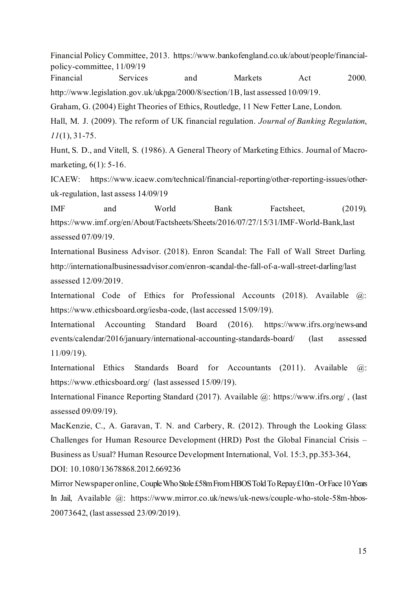Financial Policy Committee, 2013. https://www.bankofengland.co.uk/about/people/financialpolicy-committee, 11/09/19

Financial Services and Markets Act 2000.

http://www.legislation.gov.uk/ukpga/2000/8/section/1B, last assessed 10/09/19.

Graham, G. (2004) Eight Theories of Ethics, Routledge, 11 New Fetter Lane, London.

Hall, M. J. (2009). The reform of UK financial regulation. *Journal of Banking Regulation*, *11*(1), 31-75.

Hunt, S. D., and Vitell, S. (1986). A General Theory of Marketing Ethics. Journal of Macromarketing, 6(1): 5-16.

ICAEW: https://www.icaew.com/technical/financial-reporting/other-reporting-issues/otheruk-regulation, last assess 14/09/19

IMF and World Bank Factsheet, (2019). https://www.imf.org/en/About/Factsheets/Sheets/2016/07/27/15/31/IMF-World-Bank,last assessed 07/09/19.

International Business Advisor. (2018). Enron Scandal: The Fall of Wall Street Darling. http://internationalbusinessadvisor.com/enron-scandal-the-fall-of-a-wall-street-darling/last assessed 12/09/2019.

International Code of Ethics for Professional Accounts (2018). Available  $\omega$ : https://www.ethicsboard.org/iesba-code, (last accessed 15/09/19).

International Accounting Standard Board (2016). https://www.ifrs.org/news-and events/calendar/2016/january/international-accounting-standards-board/ (last assessed 11/09/19).

International Ethics Standards Board for Accountants (2011). Available @: https://www.ethicsboard.org/ (last assessed 15/09/19).

International Finance Reporting Standard (2017). Available @: https://www.ifrs.org/ , (last assessed 09/09/19).

MacKenzie, C., A. Garavan, T. N. and Carbery, R. (2012). Through the Looking Glass: Challenges for Human Resource Development (HRD) Post the Global Financial Crisis – Business as Usual? Human Resource Development International, Vol. 15:3, pp.353-364,

DOI: 10.1080/13678868.2012.669236

Mirror Newspaper online, Couple Who Stole £58m From HBOS Told To Repay £10m - Or Face 10 Years In Jail, Available @: https://www.mirror.co.uk/news/uk-news/couple-who-stole-58m-hbos-20073642, (last assessed 23/09/2019).